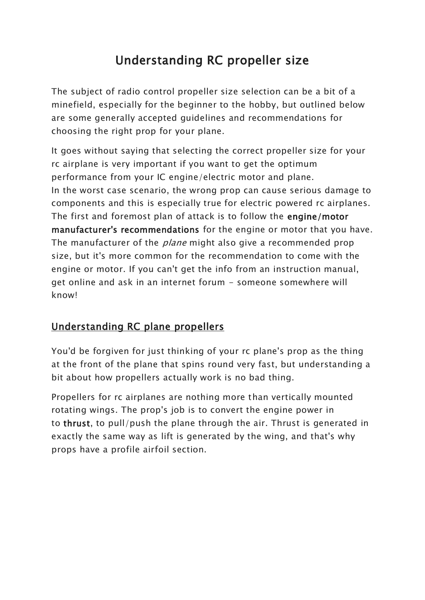# Understanding RC propeller size

The subject of radio control propeller size selection can be a bit of a minefield, especially for the beginner to the hobby, but outlined below are some generally accepted guidelines and recommendations for choosing the right prop for your plane.

It goes without saying that selecting the correct propeller size for your rc airplane is very important if you want to get the optimum performance from your IC engine/electric motor and plane. In the worst case scenario, the wrong prop can cause serious damage to components and this is especially true for electric powered rc airplanes. The first and foremost plan of attack is to follow the engine/motor manufacturer's recommendations for the engine or motor that you have. The manufacturer of the *plane* might also give a recommended prop size, but it's more common for the recommendation to come with the engine or motor. If you can't get the info from an instruction manual, get online and ask in an internet forum - someone somewhere will know!

## Understanding RC plane propellers

You'd be forgiven for just thinking of your rc plane's prop as the thing at the front of the plane that spins round very fast, but understanding a bit about how propellers actually work is no bad thing.

Propellers for rc airplanes are nothing more than vertically mounted rotating wings. The prop's job is to convert the engine power in to thrust, to pull/push the plane through the air. Thrust is generated in exactly the same way as lift is generated by the wing, and that's why props have a profile airfoil section.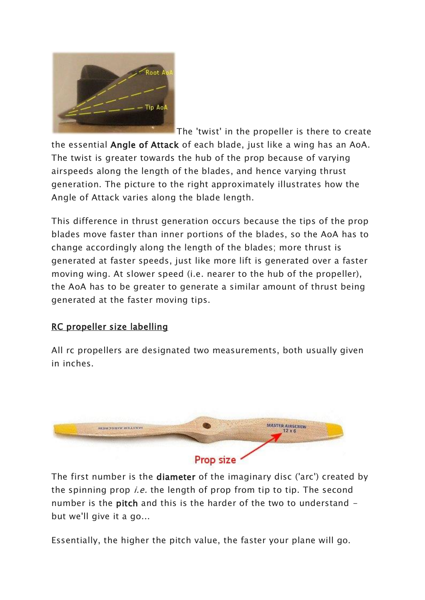

The 'twist' in the propeller is there to create the essential Angle of Attack of each blade, just like a wing has an AoA. The twist is greater towards the hub of the prop because of varying airspeeds along the length of the blades, and hence varying thrust generation. The picture to the right approximately illustrates how the Angle of Attack varies along the blade length.

This difference in thrust generation occurs because the tips of the prop blades move faster than inner portions of the blades, so the AoA has to change accordingly along the length of the blades; more thrust is generated at faster speeds, just like more lift is generated over a faster moving wing. At slower speed (i.e. nearer to the hub of the propeller), the AoA has to be greater to generate a similar amount of thrust being generated at the faster moving tips.

### RC propeller size labelling

All rc propellers are designated two measurements, both usually given in inches.



The first number is the diameter of the imaginary disc ('arc') created by the spinning prop *i.e.* the length of prop from tip to tip. The second number is the **pitch** and this is the harder of the two to understand but we'll give it a go...

Essentially, the higher the pitch value, the faster your plane will go.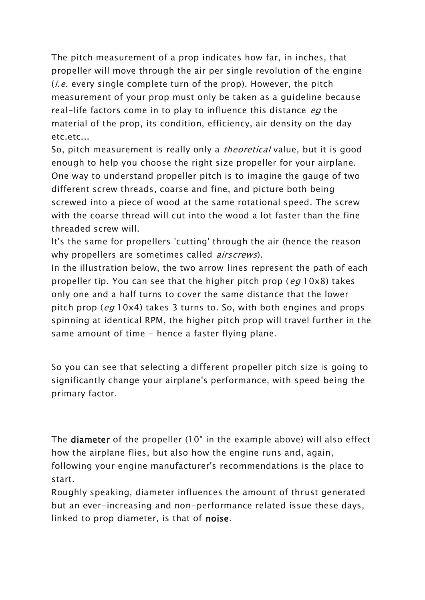The pitch measurement of a prop indicates how far, in inches, that propeller will move through the air per single revolution of the engine (*i.e.* every single complete turn of the prop). However, the pitch measurement of your prop must only be taken as a guideline because real-life factors come in to play to influence this distance eq the material of the prop, its condition, efficiency, air density on the day etc.etc...

So, pitch measurement is really only a *theoretical* value, but it is good enough to help you choose the right size propeller for your airplane. One way to understand propeller pitch is to imagine the gauge of two different screw threads, coarse and fine, and picture both being screwed into a piece of wood at the same rotational speed. The screw with the coarse thread will cut into the wood a lot faster than the fine threaded screw will.

It's the same for propellers 'cutting' through the air (hence the reason why propellers are sometimes called *airscrews*).

In the illustration below, the two arrow lines represent the path of each propeller tip. You can see that the higher pitch prop (eq  $10x8$ ) takes only one and a half turns to cover the same distance that the lower pitch prop (eq 10x4) takes 3 turns to. So, with both engines and props spinning at identical RPM, the higher pitch prop will travel further in the same amount of time - hence a faster flying plane.

So you can see that selecting a different propeller pitch size is going to significantly change your airplane's performance, with speed being the primary factor.

The diameter of the propeller (10" in the example above) will also effect how the airplane flies, but also how the engine runs and, again, following your engine manufacturer's recommendations is the place to start.

Roughly speaking, diameter influences the amount of thrust generated but an ever-increasing and non-performance related issue these days, linked to prop diameter, is that of noise.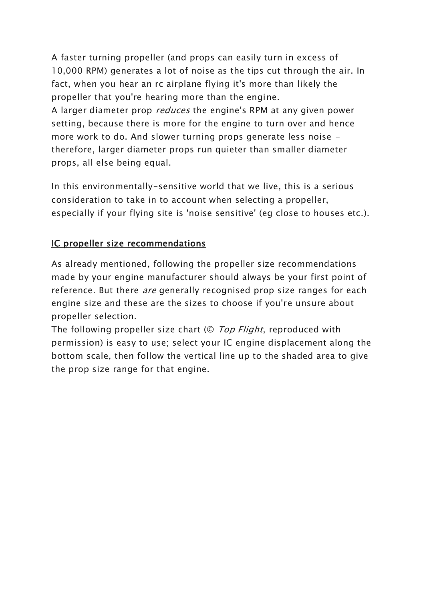A faster turning propeller (and props can easily turn in excess of 10,000 RPM) generates a lot of noise as the tips cut through the air. In fact, when you hear an rc airplane flying it's more than likely the propeller that you're hearing more than the engine. A larger diameter prop *reduces* the engine's RPM at any given power setting, because there is more for the engine to turn over and hence more work to do. And slower turning props generate less noise therefore, larger diameter props run quieter than smaller diameter props, all else being equal.

In this environmentally-sensitive world that we live, this is a serious consideration to take in to account when selecting a propeller, especially if your flying site is 'noise sensitive' (eg close to houses etc.).

### IC propeller size recommendations

As already mentioned, following the propeller size recommendations made by your engine manufacturer should always be your first point of reference. But there *are* generally recognised prop size ranges for each engine size and these are the sizes to choose if you're unsure about propeller selection.

The following propeller size chart (© Top Flight, reproduced with permission) is easy to use; select your IC engine displacement along the bottom scale, then follow the vertical line up to the shaded area to give the prop size range for that engine.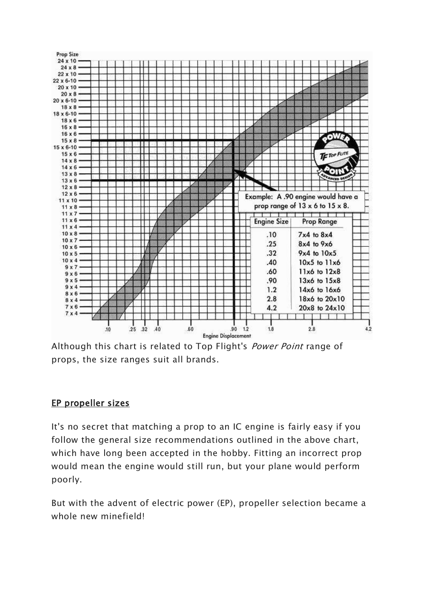

Although this chart is related to Top Flight's *Power Point* range of props, the size ranges suit all brands.

#### EP propeller sizes

It's no secret that matching a prop to an IC engine is fairly easy if you follow the general size recommendations outlined in the above chart, which have long been accepted in the hobby. Fitting an incorrect prop would mean the engine would still run, but your plane would perform poorly.

But with the advent of electric power (EP), propeller selection became a whole new minefield!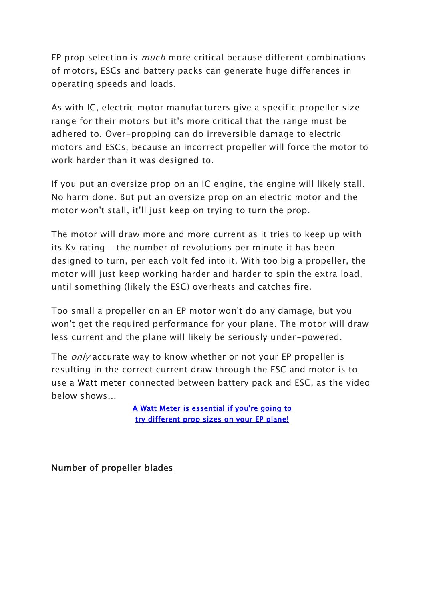EP prop selection is much more critical because different combinations of motors, ESCs and battery packs can generate huge differences in operating speeds and loads.

As with IC, electric motor manufacturers give a specific propeller size range for their motors but it's more critical that the range must be adhered to. Over-propping can do irreversible damage to electric motors and ESCs, because an incorrect propeller will force the motor to work harder than it was designed to.

If you put an oversize prop on an IC engine, the engine will likely stall. No harm done. But put an oversize prop on an electric motor and the motor won't stall, it'll just keep on trying to turn the prop.

The motor will draw more and more current as it tries to keep up with its Kv rating - the number of revolutions per minute it has been designed to turn, per each volt fed into it. With too big a propeller, the motor will just keep working harder and harder to spin the extra load, until something (likely the ESC) overheats and catches fire.

Too small a propeller on an EP motor won't do any damage, but you won't get the required performance for your plane. The motor will draw less current and the plane will likely be seriously under-powered.

The *only* accurate way to know whether or not your EP propeller is resulting in the correct current draw through the ESC and motor is to use a Watt meter connected between battery pack and ESC, as the video below shows...

> A Watt Meter is essential if you're going to try different prop sizes on your EP plane!

Number of propeller blades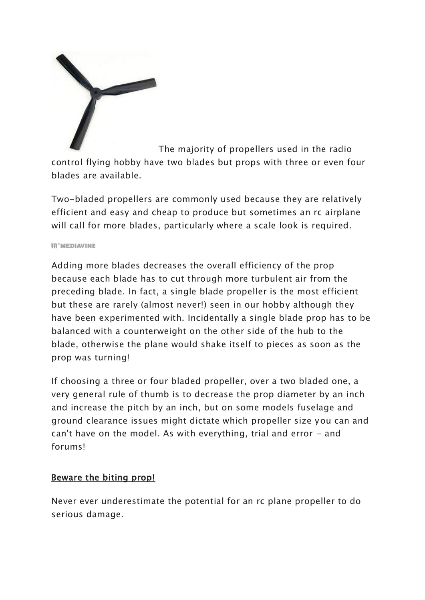

The majority of propellers used in the radio control flying hobby have two blades but props with three or even four blades are available.

Two-bladed propellers are commonly used because they are relatively efficient and easy and cheap to produce but sometimes an rc airplane will call for more blades, particularly where a scale look is required.

#### **III<sup>o</sup>MEDIAVINE**

Adding more blades decreases the overall efficiency of the prop because each blade has to cut through more turbulent air from the preceding blade. In fact, a single blade propeller is the most efficient but these are rarely (almost never!) seen in our hobby although they have been experimented with. Incidentally a single blade prop has to be balanced with a counterweight on the other side of the hub to the blade, otherwise the plane would shake itself to pieces as soon as the prop was turning!

If choosing a three or four bladed propeller, over a two bladed one, a very general rule of thumb is to decrease the prop diameter by an inch and increase the pitch by an inch, but on some models fuselage and ground clearance issues might dictate which propeller size you can and can't have on the model. As with everything, trial and error - and forums!

#### Beware the biting prop!

Never ever underestimate the potential for an rc plane propeller to do serious damage.